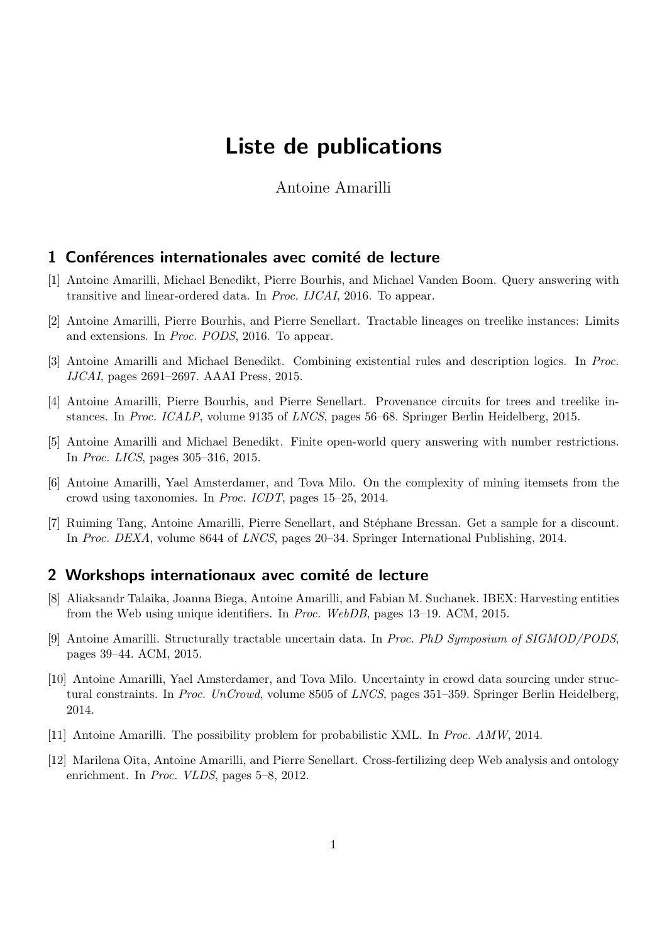# Liste de publications

Antoine Amarilli

### 1 Conférences internationales avec comité de lecture

- [1] Antoine Amarilli, Michael Benedikt, Pierre Bourhis, and Michael Vanden Boom. Query answering with transitive and linear-ordered data. In Proc. IJCAI, 2016. To appear.
- [2] Antoine Amarilli, Pierre Bourhis, and Pierre Senellart. Tractable lineages on treelike instances: Limits and extensions. In Proc. PODS, 2016. To appear.
- [3] Antoine Amarilli and Michael Benedikt. Combining existential rules and description logics. In Proc. IJCAI, pages 2691–2697. AAAI Press, 2015.
- [4] Antoine Amarilli, Pierre Bourhis, and Pierre Senellart. Provenance circuits for trees and treelike instances. In Proc. ICALP, volume 9135 of LNCS, pages 56–68. Springer Berlin Heidelberg, 2015.
- [5] Antoine Amarilli and Michael Benedikt. Finite open-world query answering with number restrictions. In Proc. LICS, pages 305–316, 2015.
- [6] Antoine Amarilli, Yael Amsterdamer, and Tova Milo. On the complexity of mining itemsets from the crowd using taxonomies. In Proc. ICDT, pages 15–25, 2014.
- [7] Ruiming Tang, Antoine Amarilli, Pierre Senellart, and Stéphane Bressan. Get a sample for a discount. In Proc. DEXA, volume 8644 of LNCS, pages 20–34. Springer International Publishing, 2014.

## 2 Workshops internationaux avec comité de lecture

- [8] Aliaksandr Talaika, Joanna Biega, Antoine Amarilli, and Fabian M. Suchanek. IBEX: Harvesting entities from the Web using unique identifiers. In Proc. WebDB, pages 13–19. ACM, 2015.
- [9] Antoine Amarilli. Structurally tractable uncertain data. In Proc. PhD Symposium of SIGMOD/PODS, pages 39–44. ACM, 2015.
- [10] Antoine Amarilli, Yael Amsterdamer, and Tova Milo. Uncertainty in crowd data sourcing under structural constraints. In Proc. UnCrowd, volume 8505 of LNCS, pages 351–359. Springer Berlin Heidelberg, 2014.
- [11] Antoine Amarilli. The possibility problem for probabilistic XML. In Proc. AMW, 2014.
- [12] Marilena Oita, Antoine Amarilli, and Pierre Senellart. Cross-fertilizing deep Web analysis and ontology enrichment. In *Proc. VLDS*, pages 5–8, 2012.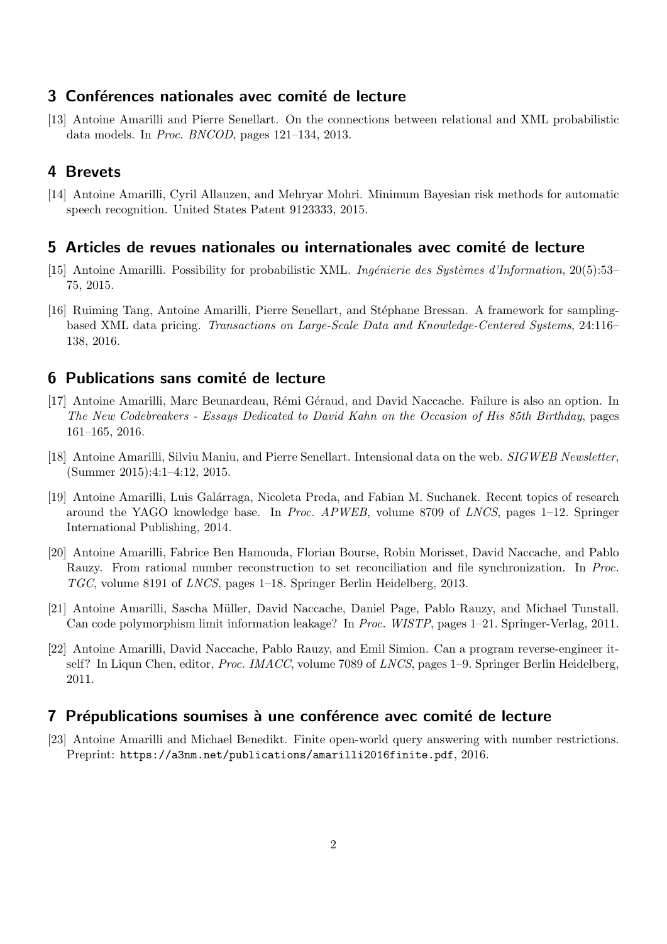# 3 Conférences nationales avec comité de lecture

[13] Antoine Amarilli and Pierre Senellart. On the connections between relational and XML probabilistic data models. In Proc. BNCOD, pages 121–134, 2013.

## 4 Brevets

[14] Antoine Amarilli, Cyril Allauzen, and Mehryar Mohri. Minimum Bayesian risk methods for automatic speech recognition. United States Patent 9123333, 2015.

#### 5 Articles de revues nationales ou internationales avec comité de lecture

- [15] Antoine Amarilli. Possibility for probabilistic XML. Ingénierie des Systèmes d'Information, 20(5):53– 75, 2015.
- [16] Ruiming Tang, Antoine Amarilli, Pierre Senellart, and Stéphane Bressan. A framework for samplingbased XML data pricing. Transactions on Large-Scale Data and Knowledge-Centered Systems, 24:116– 138, 2016.

### 6 Publications sans comité de lecture

- [17] Antoine Amarilli, Marc Beunardeau, Rémi Géraud, and David Naccache. Failure is also an option. In The New Codebreakers - Essays Dedicated to David Kahn on the Occasion of His 85th Birthday, pages 161–165, 2016.
- [18] Antoine Amarilli, Silviu Maniu, and Pierre Senellart. Intensional data on the web. SIGWEB Newsletter, (Summer 2015):4:1–4:12, 2015.
- [19] Antoine Amarilli, Luis Galárraga, Nicoleta Preda, and Fabian M. Suchanek. Recent topics of research around the YAGO knowledge base. In Proc. APWEB, volume 8709 of LNCS, pages 1–12. Springer International Publishing, 2014.
- [20] Antoine Amarilli, Fabrice Ben Hamouda, Florian Bourse, Robin Morisset, David Naccache, and Pablo Rauzy. From rational number reconstruction to set reconciliation and file synchronization. In Proc. TGC, volume 8191 of LNCS, pages 1–18. Springer Berlin Heidelberg, 2013.
- [21] Antoine Amarilli, Sascha Müller, David Naccache, Daniel Page, Pablo Rauzy, and Michael Tunstall. Can code polymorphism limit information leakage? In Proc. WISTP, pages 1–21. Springer-Verlag, 2011.
- [22] Antoine Amarilli, David Naccache, Pablo Rauzy, and Emil Simion. Can a program reverse-engineer itself? In Liqun Chen, editor, *Proc. IMACC*, volume 7089 of *LNCS*, pages 1–9. Springer Berlin Heidelberg, 2011.

## 7 Prépublications soumises à une conférence avec comité de lecture

[23] Antoine Amarilli and Michael Benedikt. Finite open-world query answering with number restrictions. Preprint: <https://a3nm.net/publications/amarilli2016finite.pdf>, 2016.